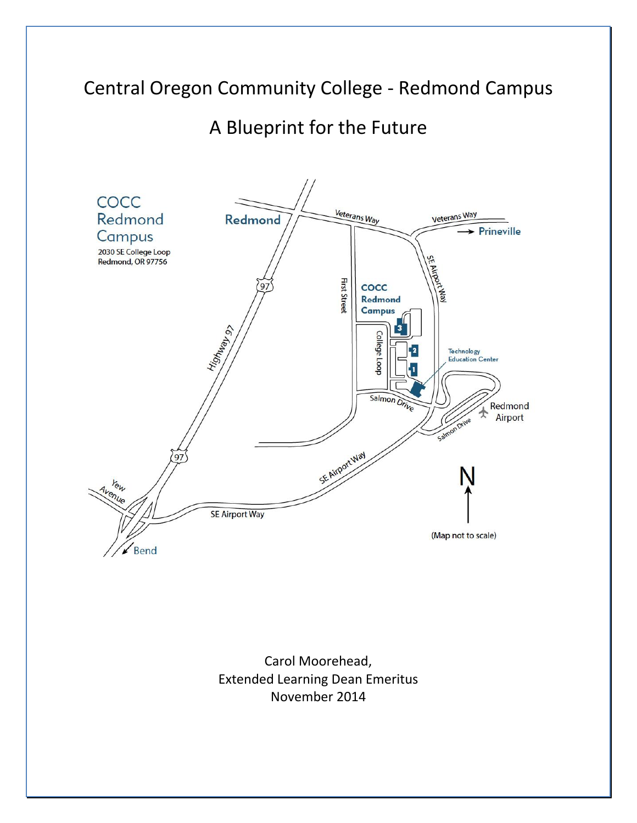# Central Oregon Community College - Redmond Campus

# A Blueprint for the Future



Carol Moorehead, Extended Learning Dean Emeritus November 2014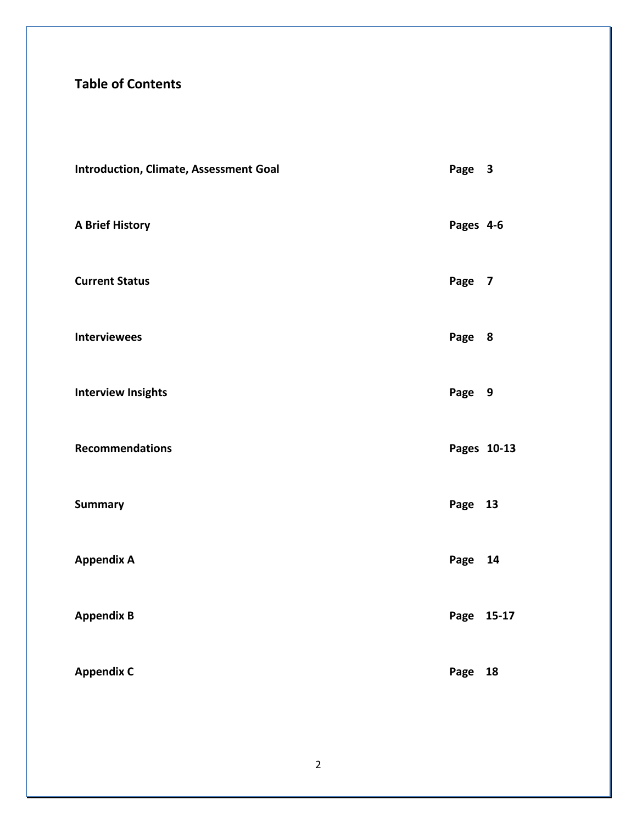## **Table of Contents**

| <b>Introduction, Climate, Assessment Goal</b> | Page 3      |    |
|-----------------------------------------------|-------------|----|
| <b>A Brief History</b>                        | Pages 4-6   |    |
| <b>Current Status</b>                         | Page 7      |    |
| <b>Interviewees</b>                           | Page 8      |    |
| <b>Interview Insights</b>                     | Page 9      |    |
| <b>Recommendations</b>                        | Pages 10-13 |    |
| <b>Summary</b>                                | Page 13     |    |
| <b>Appendix A</b>                             | Page        | 14 |
| <b>Appendix B</b>                             | Page 15-17  |    |
| <b>Appendix C</b>                             | Page        | 18 |
|                                               |             |    |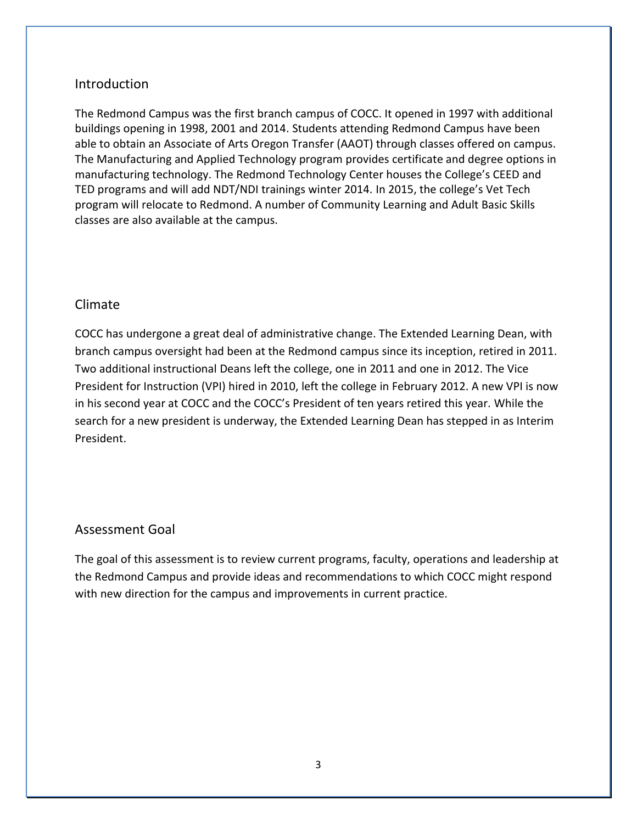## Introduction

The Redmond Campus was the first branch campus of COCC. It opened in 1997 with additional buildings opening in 1998, 2001 and 2014. Students attending Redmond Campus have been able to obtain an Associate of Arts Oregon Transfer (AAOT) through classes offered on campus. The Manufacturing and Applied Technology program provides certificate and degree options in manufacturing technology. The Redmond Technology Center houses the College's CEED and TED programs and will add NDT/NDI trainings winter 2014. In 2015, the college's Vet Tech program will relocate to Redmond. A number of Community Learning and Adult Basic Skills classes are also available at the campus.

## Climate

COCC has undergone a great deal of administrative change. The Extended Learning Dean, with branch campus oversight had been at the Redmond campus since its inception, retired in 2011. Two additional instructional Deans left the college, one in 2011 and one in 2012. The Vice President for Instruction (VPI) hired in 2010, left the college in February 2012. A new VPI is now in his second year at COCC and the COCC's President of ten years retired this year. While the search for a new president is underway, the Extended Learning Dean has stepped in as Interim President.

## Assessment Goal

The goal of this assessment is to review current programs, faculty, operations and leadership at the Redmond Campus and provide ideas and recommendations to which COCC might respond with new direction for the campus and improvements in current practice.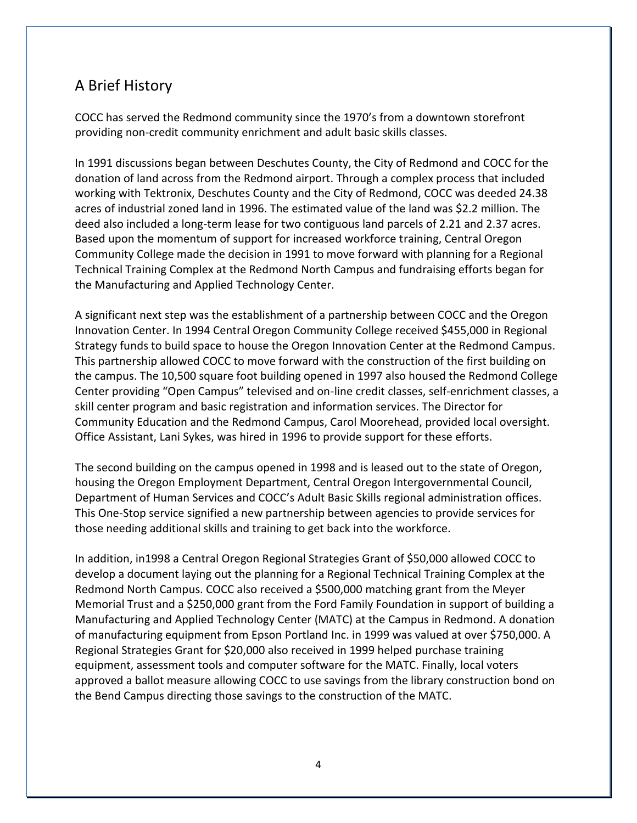## A Brief History

COCC has served the Redmond community since the 1970's from a downtown storefront providing non-credit community enrichment and adult basic skills classes.

In 1991 discussions began between Deschutes County, the City of Redmond and COCC for the donation of land across from the Redmond airport. Through a complex process that included working with Tektronix, Deschutes County and the City of Redmond, COCC was deeded 24.38 acres of industrial zoned land in 1996. The estimated value of the land was \$2.2 million. The deed also included a long-term lease for two contiguous land parcels of 2.21 and 2.37 acres. Based upon the momentum of support for increased workforce training, Central Oregon Community College made the decision in 1991 to move forward with planning for a Regional Technical Training Complex at the Redmond North Campus and fundraising efforts began for the Manufacturing and Applied Technology Center.

A significant next step was the establishment of a partnership between COCC and the Oregon Innovation Center. In 1994 Central Oregon Community College received \$455,000 in Regional Strategy funds to build space to house the Oregon Innovation Center at the Redmond Campus. This partnership allowed COCC to move forward with the construction of the first building on the campus. The 10,500 square foot building opened in 1997 also housed the Redmond College Center providing "Open Campus" televised and on-line credit classes, self-enrichment classes, a skill center program and basic registration and information services. The Director for Community Education and the Redmond Campus, Carol Moorehead, provided local oversight. Office Assistant, Lani Sykes, was hired in 1996 to provide support for these efforts.

The second building on the campus opened in 1998 and is leased out to the state of Oregon, housing the Oregon Employment Department, Central Oregon Intergovernmental Council, Department of Human Services and COCC's Adult Basic Skills regional administration offices. This One-Stop service signified a new partnership between agencies to provide services for those needing additional skills and training to get back into the workforce.

In addition, in1998 a Central Oregon Regional Strategies Grant of \$50,000 allowed COCC to develop a document laying out the planning for a Regional Technical Training Complex at the Redmond North Campus. COCC also received a \$500,000 matching grant from the Meyer Memorial Trust and a \$250,000 grant from the Ford Family Foundation in support of building a Manufacturing and Applied Technology Center (MATC) at the Campus in Redmond. A donation of manufacturing equipment from Epson Portland Inc. in 1999 was valued at over \$750,000. A Regional Strategies Grant for \$20,000 also received in 1999 helped purchase training equipment, assessment tools and computer software for the MATC. Finally, local voters approved a ballot measure allowing COCC to use savings from the library construction bond on the Bend Campus directing those savings to the construction of the MATC.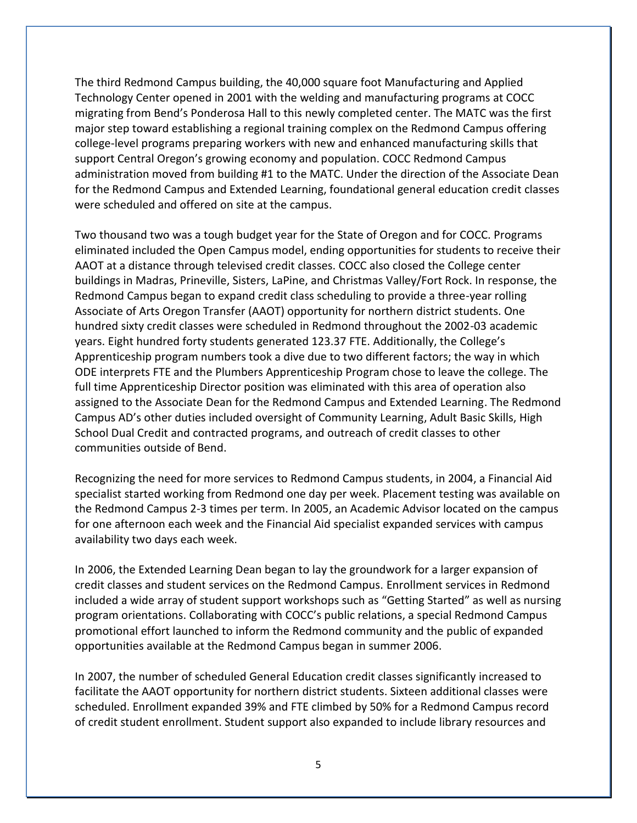The third Redmond Campus building, the 40,000 square foot Manufacturing and Applied Technology Center opened in 2001 with the welding and manufacturing programs at COCC migrating from Bend's Ponderosa Hall to this newly completed center. The MATC was the first major step toward establishing a regional training complex on the Redmond Campus offering college-level programs preparing workers with new and enhanced manufacturing skills that support Central Oregon's growing economy and population. COCC Redmond Campus administration moved from building #1 to the MATC. Under the direction of the Associate Dean for the Redmond Campus and Extended Learning, foundational general education credit classes were scheduled and offered on site at the campus.

Two thousand two was a tough budget year for the State of Oregon and for COCC. Programs eliminated included the Open Campus model, ending opportunities for students to receive their AAOT at a distance through televised credit classes. COCC also closed the College center buildings in Madras, Prineville, Sisters, LaPine, and Christmas Valley/Fort Rock. In response, the Redmond Campus began to expand credit class scheduling to provide a three-year rolling Associate of Arts Oregon Transfer (AAOT) opportunity for northern district students. One hundred sixty credit classes were scheduled in Redmond throughout the 2002-03 academic years. Eight hundred forty students generated 123.37 FTE. Additionally, the College's Apprenticeship program numbers took a dive due to two different factors; the way in which ODE interprets FTE and the Plumbers Apprenticeship Program chose to leave the college. The full time Apprenticeship Director position was eliminated with this area of operation also assigned to the Associate Dean for the Redmond Campus and Extended Learning. The Redmond Campus AD's other duties included oversight of Community Learning, Adult Basic Skills, High School Dual Credit and contracted programs, and outreach of credit classes to other communities outside of Bend.

Recognizing the need for more services to Redmond Campus students, in 2004, a Financial Aid specialist started working from Redmond one day per week. Placement testing was available on the Redmond Campus 2-3 times per term. In 2005, an Academic Advisor located on the campus for one afternoon each week and the Financial Aid specialist expanded services with campus availability two days each week.

In 2006, the Extended Learning Dean began to lay the groundwork for a larger expansion of credit classes and student services on the Redmond Campus. Enrollment services in Redmond included a wide array of student support workshops such as "Getting Started" as well as nursing program orientations. Collaborating with COCC's public relations, a special Redmond Campus promotional effort launched to inform the Redmond community and the public of expanded opportunities available at the Redmond Campus began in summer 2006.

In 2007, the number of scheduled General Education credit classes significantly increased to facilitate the AAOT opportunity for northern district students. Sixteen additional classes were scheduled. Enrollment expanded 39% and FTE climbed by 50% for a Redmond Campus record of credit student enrollment. Student support also expanded to include library resources and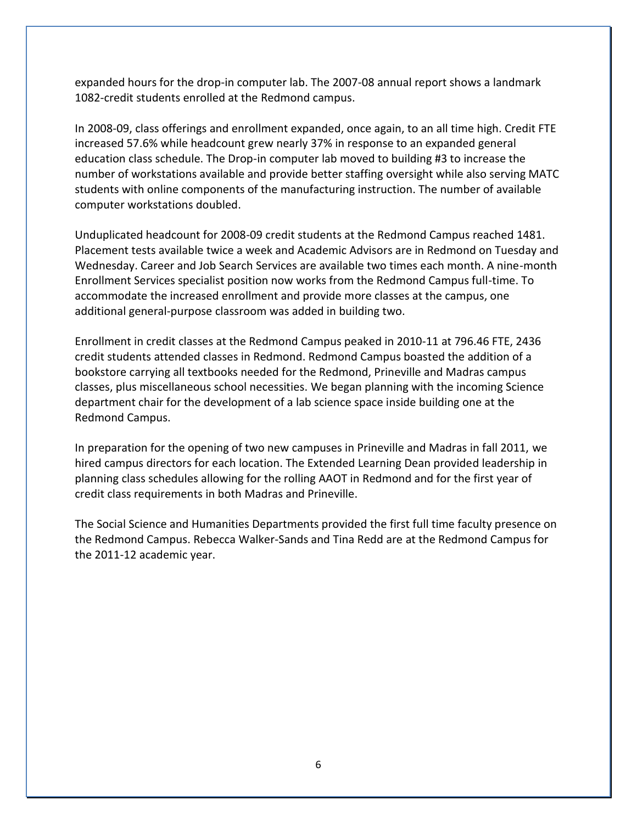expanded hours for the drop-in computer lab. The 2007-08 annual report shows a landmark 1082-credit students enrolled at the Redmond campus.

In 2008-09, class offerings and enrollment expanded, once again, to an all time high. Credit FTE increased 57.6% while headcount grew nearly 37% in response to an expanded general education class schedule. The Drop-in computer lab moved to building #3 to increase the number of workstations available and provide better staffing oversight while also serving MATC students with online components of the manufacturing instruction. The number of available computer workstations doubled.

Unduplicated headcount for 2008-09 credit students at the Redmond Campus reached 1481. Placement tests available twice a week and Academic Advisors are in Redmond on Tuesday and Wednesday. Career and Job Search Services are available two times each month. A nine-month Enrollment Services specialist position now works from the Redmond Campus full-time. To accommodate the increased enrollment and provide more classes at the campus, one additional general-purpose classroom was added in building two.

Enrollment in credit classes at the Redmond Campus peaked in 2010-11 at 796.46 FTE, 2436 credit students attended classes in Redmond. Redmond Campus boasted the addition of a bookstore carrying all textbooks needed for the Redmond, Prineville and Madras campus classes, plus miscellaneous school necessities. We began planning with the incoming Science department chair for the development of a lab science space inside building one at the Redmond Campus.

In preparation for the opening of two new campuses in Prineville and Madras in fall 2011, we hired campus directors for each location. The Extended Learning Dean provided leadership in planning class schedules allowing for the rolling AAOT in Redmond and for the first year of credit class requirements in both Madras and Prineville.

The Social Science and Humanities Departments provided the first full time faculty presence on the Redmond Campus. Rebecca Walker-Sands and Tina Redd are at the Redmond Campus for the 2011-12 academic year.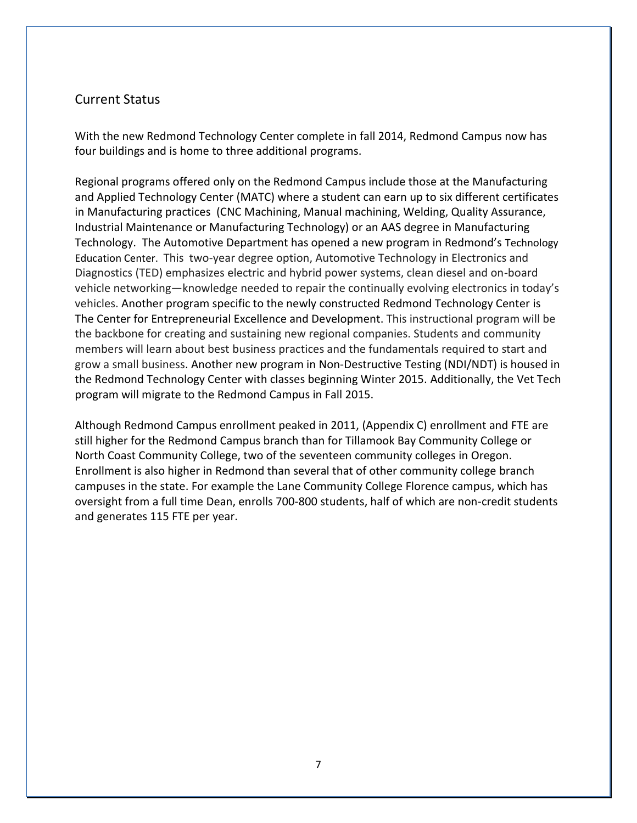### Current Status

With the new Redmond Technology Center complete in fall 2014, Redmond Campus now has four buildings and is home to three additional programs.

Regional programs offered only on the Redmond Campus include those at the Manufacturing and Applied Technology Center (MATC) where a student can earn up to six different certificates in Manufacturing practices (CNC Machining, Manual machining, Welding, Quality Assurance, Industrial Maintenance or Manufacturing Technology) or an AAS degree in Manufacturing Technology. The Automotive Department has opened a new program in Redmond's Technology Education Center. This two-year degree option, Automotive Technology in Electronics and Diagnostics (TED) emphasizes electric and hybrid power systems, clean diesel and on-board vehicle networking—knowledge needed to repair the continually evolving electronics in today's vehicles. Another program specific to the newly constructed Redmond Technology Center is The Center for Entrepreneurial Excellence and Development. This instructional program will be the backbone for creating and sustaining new regional companies. Students and community members will learn about best business practices and the fundamentals required to start and grow a small business. Another new program in Non-Destructive Testing (NDI/NDT) is housed in the Redmond Technology Center with classes beginning Winter 2015. Additionally, the Vet Tech program will migrate to the Redmond Campus in Fall 2015.

Although Redmond Campus enrollment peaked in 2011, (Appendix C) enrollment and FTE are still higher for the Redmond Campus branch than for Tillamook Bay Community College or North Coast Community College, two of the seventeen community colleges in Oregon. Enrollment is also higher in Redmond than several that of other community college branch campuses in the state. For example the Lane Community College Florence campus, which has oversight from a full time Dean, enrolls 700-800 students, half of which are non-credit students and generates 115 FTE per year.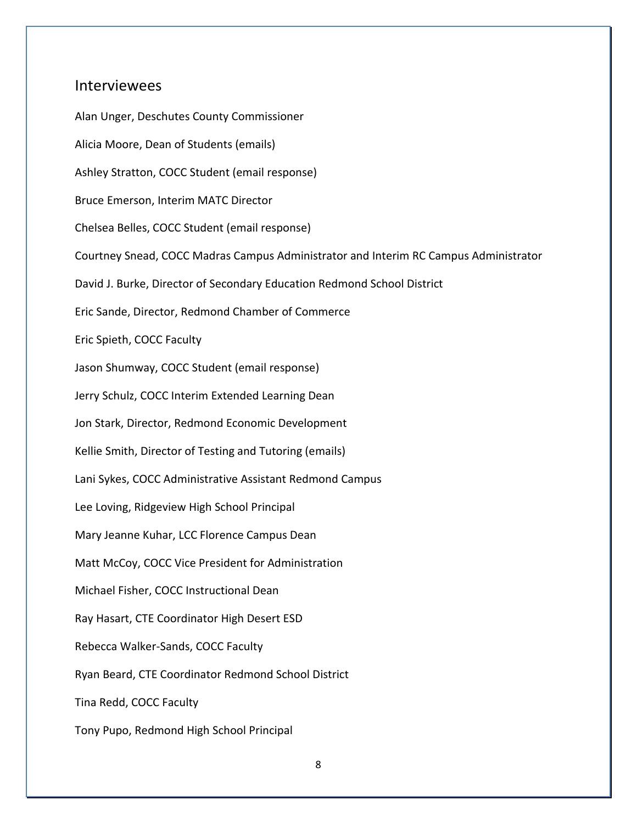### Interviewees

Alan Unger, Deschutes County Commissioner Alicia Moore, Dean of Students (emails) Ashley Stratton, COCC Student (email response) Bruce Emerson, Interim MATC Director Chelsea Belles, COCC Student (email response) Courtney Snead, COCC Madras Campus Administrator and Interim RC Campus Administrator David J. Burke, Director of Secondary Education Redmond School District Eric Sande, Director, Redmond Chamber of Commerce Eric Spieth, COCC Faculty Jason Shumway, COCC Student (email response) Jerry Schulz, COCC Interim Extended Learning Dean Jon Stark, Director, Redmond Economic Development Kellie Smith, Director of Testing and Tutoring (emails) Lani Sykes, COCC Administrative Assistant Redmond Campus Lee Loving, Ridgeview High School Principal Mary Jeanne Kuhar, LCC Florence Campus Dean Matt McCoy, COCC Vice President for Administration Michael Fisher, COCC Instructional Dean Ray Hasart, CTE Coordinator High Desert ESD Rebecca Walker-Sands, COCC Faculty Ryan Beard, CTE Coordinator Redmond School District Tina Redd, COCC Faculty Tony Pupo, Redmond High School Principal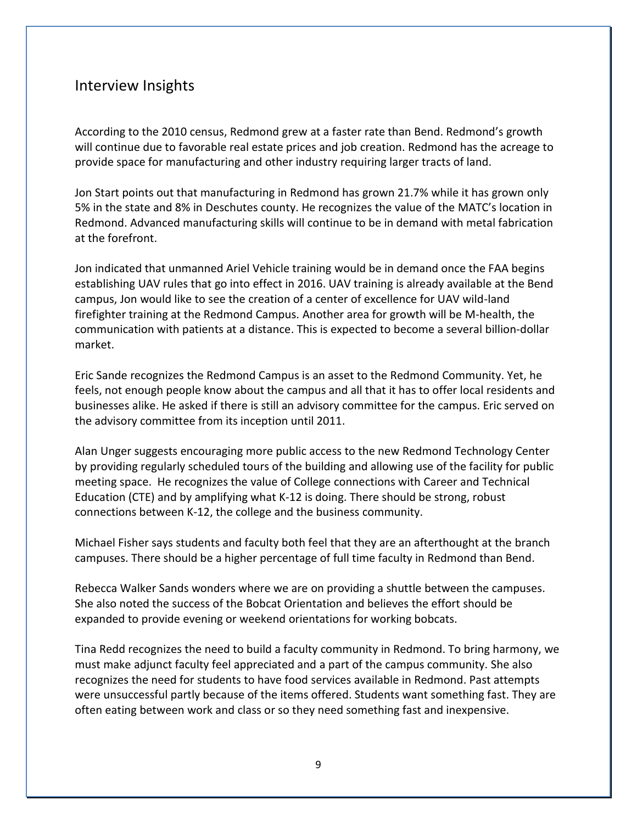## Interview Insights

According to the 2010 census, Redmond grew at a faster rate than Bend. Redmond's growth will continue due to favorable real estate prices and job creation. Redmond has the acreage to provide space for manufacturing and other industry requiring larger tracts of land.

Jon Start points out that manufacturing in Redmond has grown 21.7% while it has grown only 5% in the state and 8% in Deschutes county. He recognizes the value of the MATC's location in Redmond. Advanced manufacturing skills will continue to be in demand with metal fabrication at the forefront.

Jon indicated that unmanned Ariel Vehicle training would be in demand once the FAA begins establishing UAV rules that go into effect in 2016. UAV training is already available at the Bend campus, Jon would like to see the creation of a center of excellence for UAV wild-land firefighter training at the Redmond Campus. Another area for growth will be M-health, the communication with patients at a distance. This is expected to become a several billion-dollar market.

Eric Sande recognizes the Redmond Campus is an asset to the Redmond Community. Yet, he feels, not enough people know about the campus and all that it has to offer local residents and businesses alike. He asked if there is still an advisory committee for the campus. Eric served on the advisory committee from its inception until 2011.

Alan Unger suggests encouraging more public access to the new Redmond Technology Center by providing regularly scheduled tours of the building and allowing use of the facility for public meeting space. He recognizes the value of College connections with Career and Technical Education (CTE) and by amplifying what K-12 is doing. There should be strong, robust connections between K-12, the college and the business community.

Michael Fisher says students and faculty both feel that they are an afterthought at the branch campuses. There should be a higher percentage of full time faculty in Redmond than Bend.

Rebecca Walker Sands wonders where we are on providing a shuttle between the campuses. She also noted the success of the Bobcat Orientation and believes the effort should be expanded to provide evening or weekend orientations for working bobcats.

Tina Redd recognizes the need to build a faculty community in Redmond. To bring harmony, we must make adjunct faculty feel appreciated and a part of the campus community. She also recognizes the need for students to have food services available in Redmond. Past attempts were unsuccessful partly because of the items offered. Students want something fast. They are often eating between work and class or so they need something fast and inexpensive.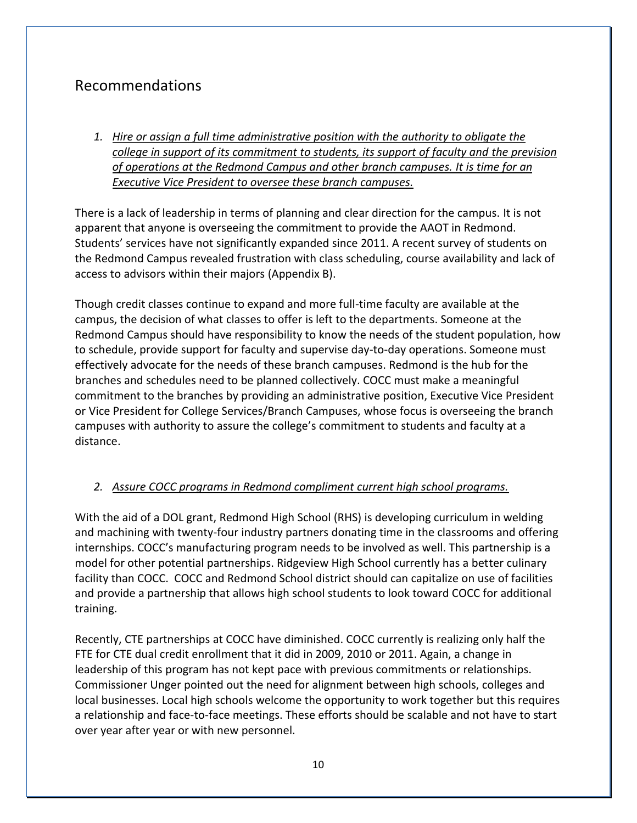## Recommendations

*1. Hire or assign a full time administrative position with the authority to obligate the college in support of its commitment to students, its support of faculty and the prevision of operations at the Redmond Campus and other branch campuses. It is time for an Executive Vice President to oversee these branch campuses.*

There is a lack of leadership in terms of planning and clear direction for the campus. It is not apparent that anyone is overseeing the commitment to provide the AAOT in Redmond. Students' services have not significantly expanded since 2011. A recent survey of students on the Redmond Campus revealed frustration with class scheduling, course availability and lack of access to advisors within their majors (Appendix B).

Though credit classes continue to expand and more full-time faculty are available at the campus, the decision of what classes to offer is left to the departments. Someone at the Redmond Campus should have responsibility to know the needs of the student population, how to schedule, provide support for faculty and supervise day-to-day operations. Someone must effectively advocate for the needs of these branch campuses. Redmond is the hub for the branches and schedules need to be planned collectively. COCC must make a meaningful commitment to the branches by providing an administrative position, Executive Vice President or Vice President for College Services/Branch Campuses, whose focus is overseeing the branch campuses with authority to assure the college's commitment to students and faculty at a distance.

### *2. Assure COCC programs in Redmond compliment current high school programs.*

With the aid of a DOL grant, Redmond High School (RHS) is developing curriculum in welding and machining with twenty-four industry partners donating time in the classrooms and offering internships. COCC's manufacturing program needs to be involved as well. This partnership is a model for other potential partnerships. Ridgeview High School currently has a better culinary facility than COCC. COCC and Redmond School district should can capitalize on use of facilities and provide a partnership that allows high school students to look toward COCC for additional training.

Recently, CTE partnerships at COCC have diminished. COCC currently is realizing only half the FTE for CTE dual credit enrollment that it did in 2009, 2010 or 2011. Again, a change in leadership of this program has not kept pace with previous commitments or relationships. Commissioner Unger pointed out the need for alignment between high schools, colleges and local businesses. Local high schools welcome the opportunity to work together but this requires a relationship and face-to-face meetings. These efforts should be scalable and not have to start over year after year or with new personnel.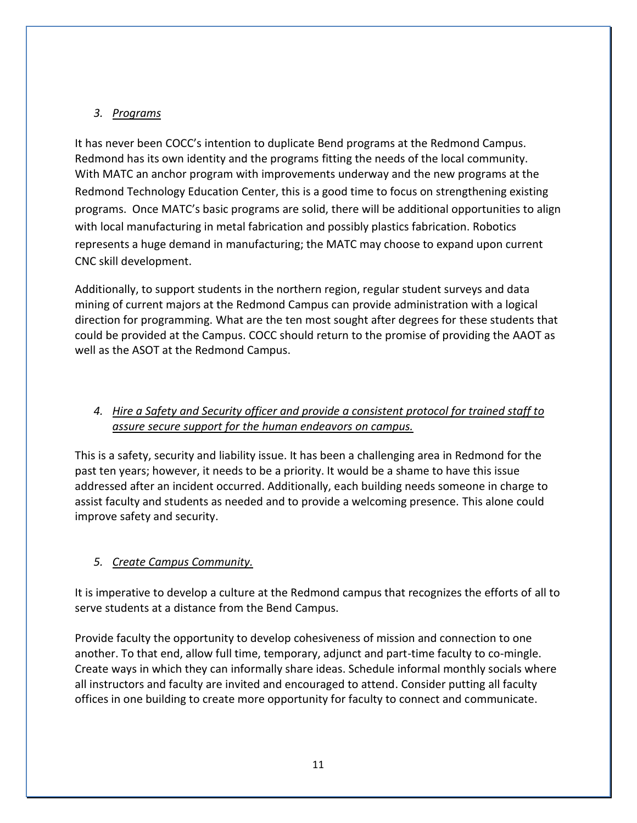## *3. Programs*

It has never been COCC's intention to duplicate Bend programs at the Redmond Campus. Redmond has its own identity and the programs fitting the needs of the local community. With MATC an anchor program with improvements underway and the new programs at the Redmond Technology Education Center, this is a good time to focus on strengthening existing programs. Once MATC's basic programs are solid, there will be additional opportunities to align with local manufacturing in metal fabrication and possibly plastics fabrication. Robotics represents a huge demand in manufacturing; the MATC may choose to expand upon current CNC skill development.

Additionally, to support students in the northern region, regular student surveys and data mining of current majors at the Redmond Campus can provide administration with a logical direction for programming. What are the ten most sought after degrees for these students that could be provided at the Campus. COCC should return to the promise of providing the AAOT as well as the ASOT at the Redmond Campus.

## *4. Hire a Safety and Security officer and provide a consistent protocol for trained staff to assure secure support for the human endeavors on campus.*

This is a safety, security and liability issue. It has been a challenging area in Redmond for the past ten years; however, it needs to be a priority. It would be a shame to have this issue addressed after an incident occurred. Additionally, each building needs someone in charge to assist faculty and students as needed and to provide a welcoming presence. This alone could improve safety and security.

### *5. Create Campus Community.*

It is imperative to develop a culture at the Redmond campus that recognizes the efforts of all to serve students at a distance from the Bend Campus.

Provide faculty the opportunity to develop cohesiveness of mission and connection to one another. To that end, allow full time, temporary, adjunct and part-time faculty to co-mingle. Create ways in which they can informally share ideas. Schedule informal monthly socials where all instructors and faculty are invited and encouraged to attend. Consider putting all faculty offices in one building to create more opportunity for faculty to connect and communicate.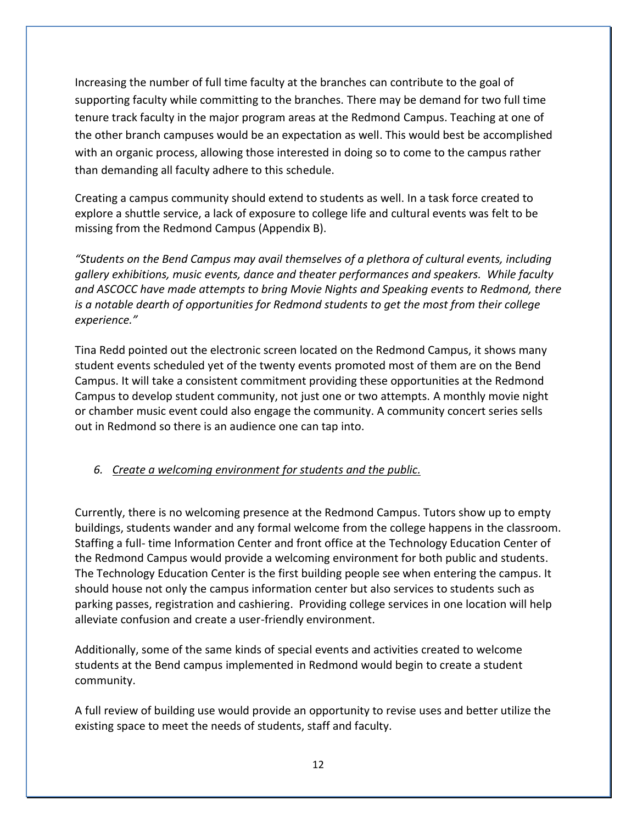Increasing the number of full time faculty at the branches can contribute to the goal of supporting faculty while committing to the branches. There may be demand for two full time tenure track faculty in the major program areas at the Redmond Campus. Teaching at one of the other branch campuses would be an expectation as well. This would best be accomplished with an organic process, allowing those interested in doing so to come to the campus rather than demanding all faculty adhere to this schedule.

Creating a campus community should extend to students as well. In a task force created to explore a shuttle service, a lack of exposure to college life and cultural events was felt to be missing from the Redmond Campus (Appendix B).

*"Students on the Bend Campus may avail themselves of a plethora of cultural events, including gallery exhibitions, music events, dance and theater performances and speakers. While faculty and ASCOCC have made attempts to bring Movie Nights and Speaking events to Redmond, there is a notable dearth of opportunities for Redmond students to get the most from their college experience."*

Tina Redd pointed out the electronic screen located on the Redmond Campus, it shows many student events scheduled yet of the twenty events promoted most of them are on the Bend Campus. It will take a consistent commitment providing these opportunities at the Redmond Campus to develop student community, not just one or two attempts. A monthly movie night or chamber music event could also engage the community. A community concert series sells out in Redmond so there is an audience one can tap into.

## *6. Create a welcoming environment for students and the public.*

Currently, there is no welcoming presence at the Redmond Campus. Tutors show up to empty buildings, students wander and any formal welcome from the college happens in the classroom. Staffing a full- time Information Center and front office at the Technology Education Center of the Redmond Campus would provide a welcoming environment for both public and students. The Technology Education Center is the first building people see when entering the campus. It should house not only the campus information center but also services to students such as parking passes, registration and cashiering. Providing college services in one location will help alleviate confusion and create a user-friendly environment.

Additionally, some of the same kinds of special events and activities created to welcome students at the Bend campus implemented in Redmond would begin to create a student community.

A full review of building use would provide an opportunity to revise uses and better utilize the existing space to meet the needs of students, staff and faculty.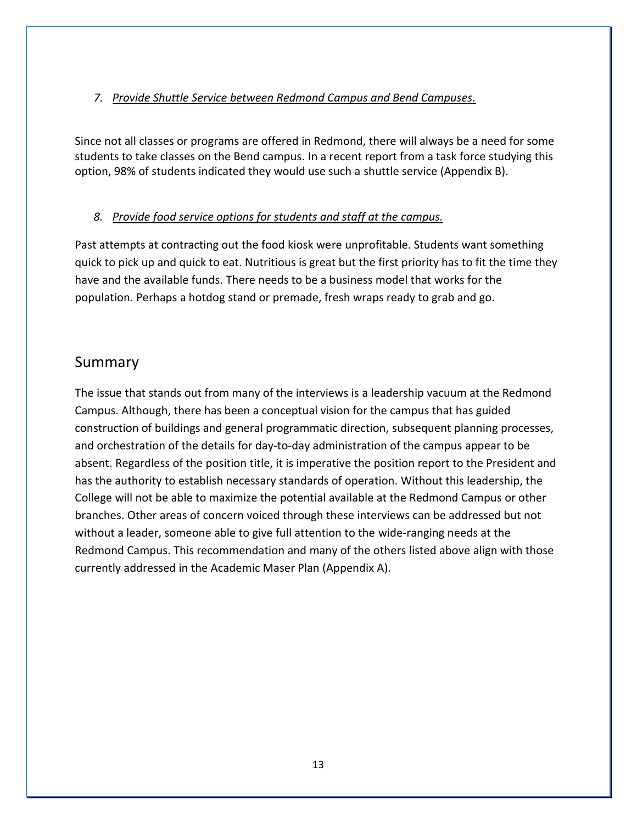## *7. Provide Shuttle Service between Redmond Campus and Bend Campuses.*

Since not all classes or programs are offered in Redmond, there will always be a need for some students to take classes on the Bend campus. In a recent report from a task force studying this option, 98% of students indicated they would use such a shuttle service (Appendix B).

## *8. Provide food service options for students and staff at the campus.*

Past attempts at contracting out the food kiosk were unprofitable. Students want something quick to pick up and quick to eat. Nutritious is great but the first priority has to fit the time they have and the available funds. There needs to be a business model that works for the population. Perhaps a hotdog stand or premade, fresh wraps ready to grab and go.

## Summary

The issue that stands out from many of the interviews is a leadership vacuum at the Redmond Campus. Although, there has been a conceptual vision for the campus that has guided construction of buildings and general programmatic direction, subsequent planning processes, and orchestration of the details for day-to-day administration of the campus appear to be absent. Regardless of the position title, it is imperative the position report to the President and has the authority to establish necessary standards of operation. Without this leadership, the College will not be able to maximize the potential available at the Redmond Campus or other branches. Other areas of concern voiced through these interviews can be addressed but not without a leader, someone able to give full attention to the wide-ranging needs at the Redmond Campus. This recommendation and many of the others listed above align with those currently addressed in the Academic Maser Plan (Appendix A).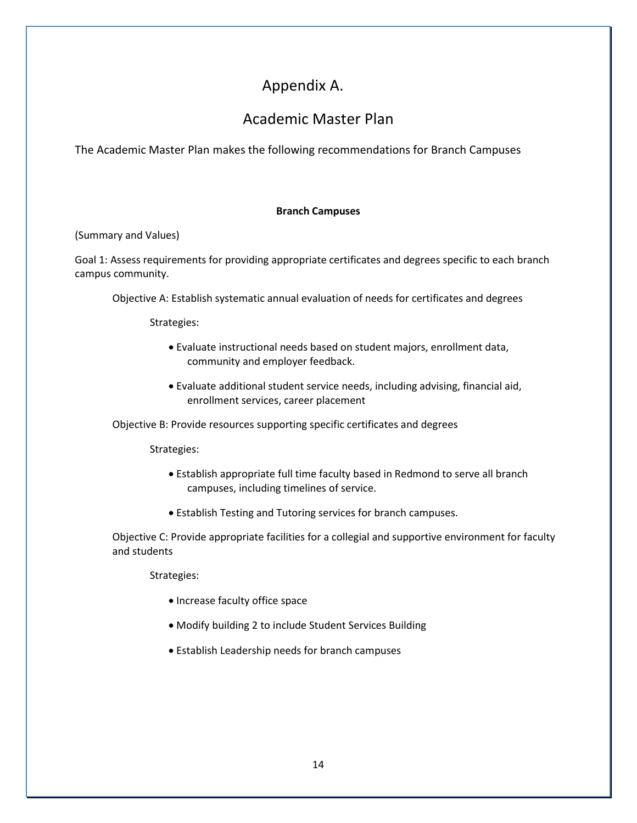## Appendix A.

## Academic Master Plan

The Academic Master Plan makes the following recommendations for Branch Campuses

#### **Branch Campuses**

(Summary and Values)

Goal 1: Assess requirements for providing appropriate certificates and degrees specific to each branch campus community.

Objective A: Establish systematic annual evaluation of needs for certificates and degrees

Strategies:

- Evaluate instructional needs based on student majors, enrollment data, community and employer feedback.
- Evaluate additional student service needs, including advising, financial aid, enrollment services, career placement

Objective B: Provide resources supporting specific certificates and degrees

Strategies:

- Establish appropriate full time faculty based in Redmond to serve all branch campuses, including timelines of service.
- Establish Testing and Tutoring services for branch campuses.

Objective C: Provide appropriate facilities for a collegial and supportive environment for faculty and students

Strategies:

- Increase faculty office space
- Modify building 2 to include Student Services Building
- Establish Leadership needs for branch campuses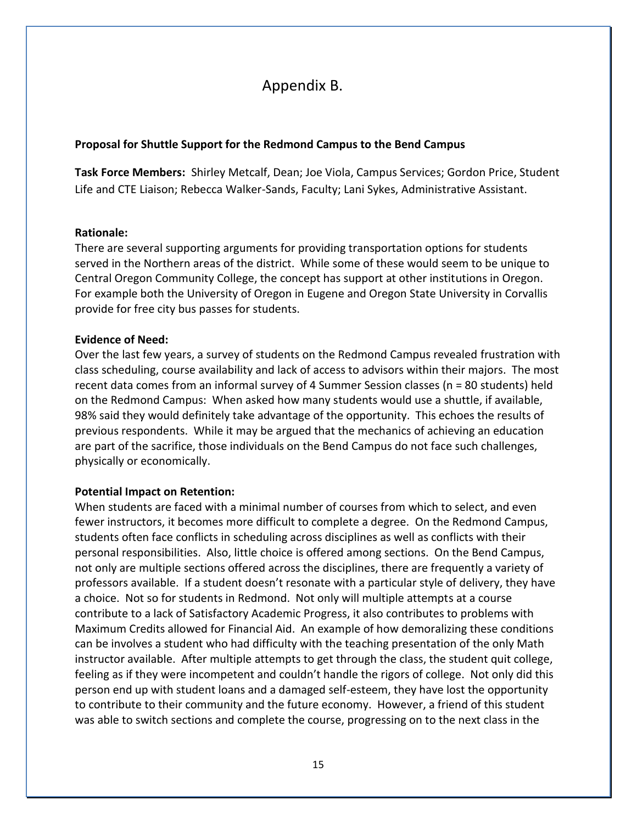## Appendix B.

#### **Proposal for Shuttle Support for the Redmond Campus to the Bend Campus**

**Task Force Members:** Shirley Metcalf, Dean; Joe Viola, Campus Services; Gordon Price, Student Life and CTE Liaison; Rebecca Walker-Sands, Faculty; Lani Sykes, Administrative Assistant.

#### **Rationale:**

There are several supporting arguments for providing transportation options for students served in the Northern areas of the district. While some of these would seem to be unique to Central Oregon Community College, the concept has support at other institutions in Oregon. For example both the University of Oregon in Eugene and Oregon State University in Corvallis provide for free city bus passes for students.

#### **Evidence of Need:**

Over the last few years, a survey of students on the Redmond Campus revealed frustration with class scheduling, course availability and lack of access to advisors within their majors. The most recent data comes from an informal survey of 4 Summer Session classes (n = 80 students) held on the Redmond Campus: When asked how many students would use a shuttle, if available, 98% said they would definitely take advantage of the opportunity. This echoes the results of previous respondents. While it may be argued that the mechanics of achieving an education are part of the sacrifice, those individuals on the Bend Campus do not face such challenges, physically or economically.

#### **Potential Impact on Retention:**

When students are faced with a minimal number of courses from which to select, and even fewer instructors, it becomes more difficult to complete a degree. On the Redmond Campus, students often face conflicts in scheduling across disciplines as well as conflicts with their personal responsibilities. Also, little choice is offered among sections. On the Bend Campus, not only are multiple sections offered across the disciplines, there are frequently a variety of professors available. If a student doesn't resonate with a particular style of delivery, they have a choice. Not so for students in Redmond. Not only will multiple attempts at a course contribute to a lack of Satisfactory Academic Progress, it also contributes to problems with Maximum Credits allowed for Financial Aid. An example of how demoralizing these conditions can be involves a student who had difficulty with the teaching presentation of the only Math instructor available. After multiple attempts to get through the class, the student quit college, feeling as if they were incompetent and couldn't handle the rigors of college. Not only did this person end up with student loans and a damaged self-esteem, they have lost the opportunity to contribute to their community and the future economy. However, a friend of this student was able to switch sections and complete the course, progressing on to the next class in the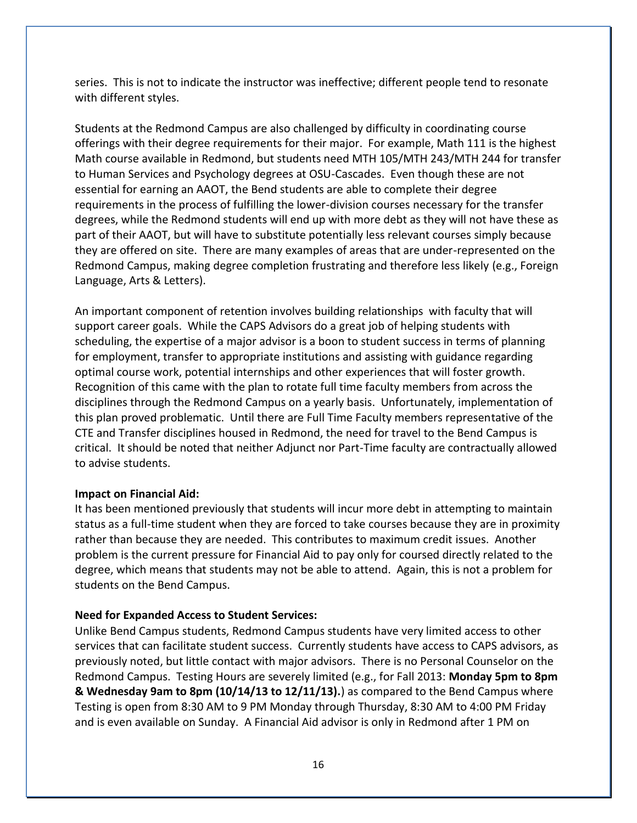series. This is not to indicate the instructor was ineffective; different people tend to resonate with different styles.

Students at the Redmond Campus are also challenged by difficulty in coordinating course offerings with their degree requirements for their major. For example, Math 111 is the highest Math course available in Redmond, but students need MTH 105/MTH 243/MTH 244 for transfer to Human Services and Psychology degrees at OSU-Cascades. Even though these are not essential for earning an AAOT, the Bend students are able to complete their degree requirements in the process of fulfilling the lower-division courses necessary for the transfer degrees, while the Redmond students will end up with more debt as they will not have these as part of their AAOT, but will have to substitute potentially less relevant courses simply because they are offered on site. There are many examples of areas that are under-represented on the Redmond Campus, making degree completion frustrating and therefore less likely (e.g., Foreign Language, Arts & Letters).

An important component of retention involves building relationships with faculty that will support career goals. While the CAPS Advisors do a great job of helping students with scheduling, the expertise of a major advisor is a boon to student success in terms of planning for employment, transfer to appropriate institutions and assisting with guidance regarding optimal course work, potential internships and other experiences that will foster growth. Recognition of this came with the plan to rotate full time faculty members from across the disciplines through the Redmond Campus on a yearly basis. Unfortunately, implementation of this plan proved problematic. Until there are Full Time Faculty members representative of the CTE and Transfer disciplines housed in Redmond, the need for travel to the Bend Campus is critical. It should be noted that neither Adjunct nor Part-Time faculty are contractually allowed to advise students.

#### **Impact on Financial Aid:**

It has been mentioned previously that students will incur more debt in attempting to maintain status as a full-time student when they are forced to take courses because they are in proximity rather than because they are needed. This contributes to maximum credit issues. Another problem is the current pressure for Financial Aid to pay only for coursed directly related to the degree, which means that students may not be able to attend. Again, this is not a problem for students on the Bend Campus.

#### **Need for Expanded Access to Student Services:**

Unlike Bend Campus students, Redmond Campus students have very limited access to other services that can facilitate student success. Currently students have access to CAPS advisors, as previously noted, but little contact with major advisors. There is no Personal Counselor on the Redmond Campus. Testing Hours are severely limited (e.g., for Fall 2013: **Monday 5pm to 8pm & Wednesday 9am to 8pm (10/14/13 to 12/11/13).**) as compared to the Bend Campus where Testing is open from 8:30 AM to 9 PM Monday through Thursday, 8:30 AM to 4:00 PM Friday and is even available on Sunday. A Financial Aid advisor is only in Redmond after 1 PM on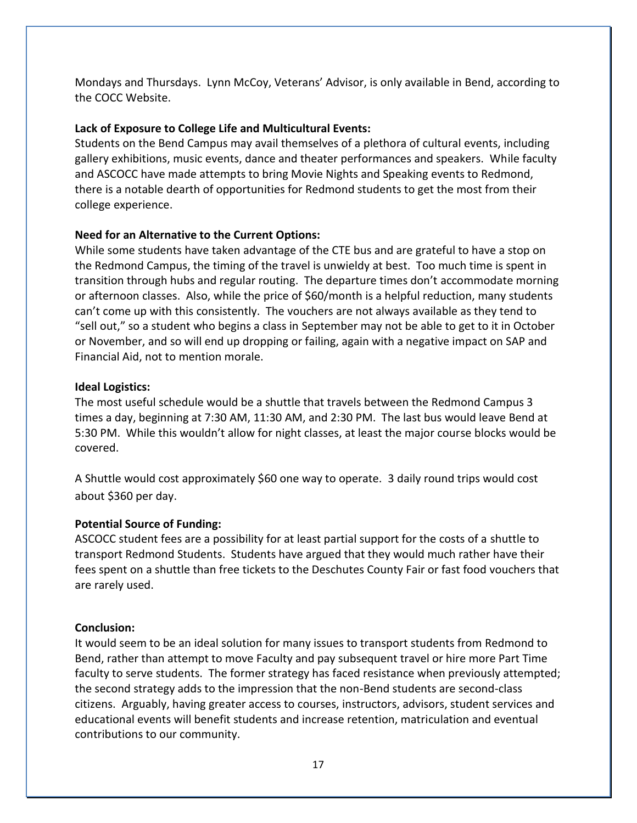Mondays and Thursdays. Lynn McCoy, Veterans' Advisor, is only available in Bend, according to the COCC Website.

### **Lack of Exposure to College Life and Multicultural Events:**

Students on the Bend Campus may avail themselves of a plethora of cultural events, including gallery exhibitions, music events, dance and theater performances and speakers. While faculty and ASCOCC have made attempts to bring Movie Nights and Speaking events to Redmond, there is a notable dearth of opportunities for Redmond students to get the most from their college experience.

### **Need for an Alternative to the Current Options:**

While some students have taken advantage of the CTE bus and are grateful to have a stop on the Redmond Campus, the timing of the travel is unwieldy at best. Too much time is spent in transition through hubs and regular routing. The departure times don't accommodate morning or afternoon classes. Also, while the price of \$60/month is a helpful reduction, many students can't come up with this consistently. The vouchers are not always available as they tend to "sell out," so a student who begins a class in September may not be able to get to it in October or November, and so will end up dropping or failing, again with a negative impact on SAP and Financial Aid, not to mention morale.

### **Ideal Logistics:**

The most useful schedule would be a shuttle that travels between the Redmond Campus 3 times a day, beginning at 7:30 AM, 11:30 AM, and 2:30 PM. The last bus would leave Bend at 5:30 PM. While this wouldn't allow for night classes, at least the major course blocks would be covered.

A Shuttle would cost approximately \$60 one way to operate. 3 daily round trips would cost about \$360 per day.

### **Potential Source of Funding:**

ASCOCC student fees are a possibility for at least partial support for the costs of a shuttle to transport Redmond Students. Students have argued that they would much rather have their fees spent on a shuttle than free tickets to the Deschutes County Fair or fast food vouchers that are rarely used.

#### **Conclusion:**

It would seem to be an ideal solution for many issues to transport students from Redmond to Bend, rather than attempt to move Faculty and pay subsequent travel or hire more Part Time faculty to serve students. The former strategy has faced resistance when previously attempted; the second strategy adds to the impression that the non-Bend students are second-class citizens. Arguably, having greater access to courses, instructors, advisors, student services and educational events will benefit students and increase retention, matriculation and eventual contributions to our community.